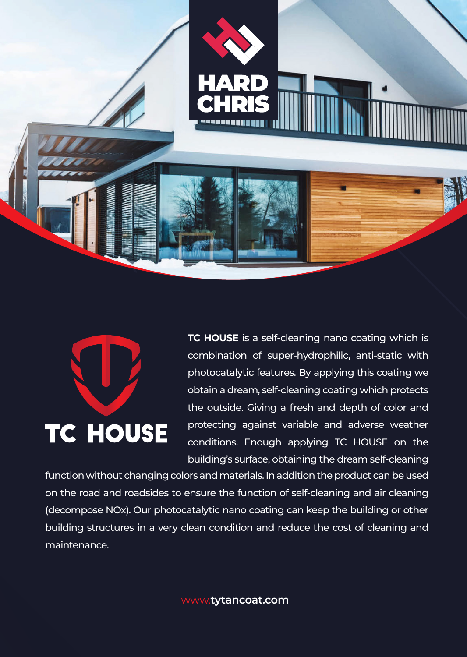

## **TC HOUSE**

**TC HOUSE** is a self-cleaning nano coating which is combination of super-hydrophilic, anti-static with photocatalytic features. By applying this coating we obtain a dream, self-cleaning coating which protects the outside. Giving a fresh and depth of color and protecting against variable and adverse weather conditions. Enough applying TC HOUSE on the building's surface, obtaining the dream self-cleaning

function without changing colors and materials. In addition the product can be used on the road and roadsides to ensure the function of self-cleaning and air cleaning (decompose NOx). Our photocatalytic nano coating can keep the building or other building structures in a very clean condition and reduce the cost of cleaning and maintenance.

www.**tytancoat.com**